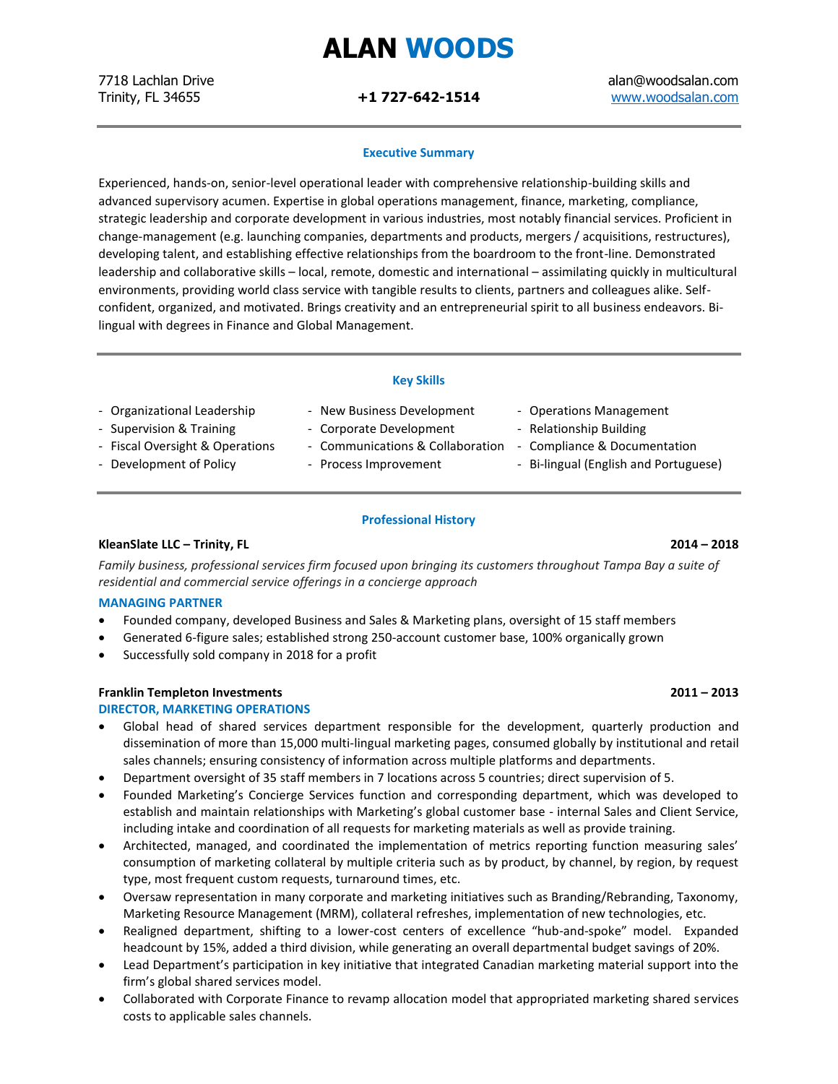## **ALAN WOODS**

7718 Lachlan Drive alan@woodsalan.com Trinity, FL 34655 **+1 727-642-1514** [www.woodsalan.com](http://www.woodsalan.com/)

### **Executive Summary**

Experienced, hands-on, senior-level operational leader with comprehensive relationship-building skills and advanced supervisory acumen. Expertise in global operations management, finance, marketing, compliance, strategic leadership and corporate development in various industries, most notably financial services. Proficient in change-management (e.g. launching companies, departments and products, mergers / acquisitions, restructures), developing talent, and establishing effective relationships from the boardroom to the front-line. Demonstrated leadership and collaborative skills – local, remote, domestic and international – assimilating quickly in multicultural environments, providing world class service with tangible results to clients, partners and colleagues alike. Selfconfident, organized, and motivated. Brings creativity and an entrepreneurial spirit to all business endeavors. Bilingual with degrees in Finance and Global Management.

### **Key Skills**

- Organizational Leadership New Business Development Operations Management
- 
- Supervision & Training Corporate Development Relationship Building
	- -
- 
- 
- Fiscal Oversight & Operations Communications & Collaboration Compliance & Documentation
- Development of Policy  **Process Improvement** Bi-lingual (English and Portuguese)

### **Professional History**

### **KleanSlate LLC – Trinity, FL 2014 – 2018**

*Family business, professional services firm focused upon bringing its customers throughout Tampa Bay a suite of residential and commercial service offerings in a concierge approach*

### **MANAGING PARTNER**

- Founded company, developed Business and Sales & Marketing plans, oversight of 15 staff members
- Generated 6-figure sales; established strong 250-account customer base, 100% organically grown
- Successfully sold company in 2018 for a profit

### **Franklin Templeton Investments 2011 – 2013**

### **DIRECTOR, MARKETING OPERATIONS**

- Global head of shared services department responsible for the development, quarterly production and dissemination of more than 15,000 multi-lingual marketing pages, consumed globally by institutional and retail sales channels; ensuring consistency of information across multiple platforms and departments.
- Department oversight of 35 staff members in 7 locations across 5 countries; direct supervision of 5.
- Founded Marketing's Concierge Services function and corresponding department, which was developed to establish and maintain relationships with Marketing's global customer base - internal Sales and Client Service, including intake and coordination of all requests for marketing materials as well as provide training.
- Architected, managed, and coordinated the implementation of metrics reporting function measuring sales' consumption of marketing collateral by multiple criteria such as by product, by channel, by region, by request type, most frequent custom requests, turnaround times, etc.
- Oversaw representation in many corporate and marketing initiatives such as Branding/Rebranding, Taxonomy, Marketing Resource Management (MRM), collateral refreshes, implementation of new technologies, etc.
- Realigned department, shifting to a lower-cost centers of excellence "hub-and-spoke" model. Expanded headcount by 15%, added a third division, while generating an overall departmental budget savings of 20%.
- Lead Department's participation in key initiative that integrated Canadian marketing material support into the firm's global shared services model.
- Collaborated with Corporate Finance to revamp allocation model that appropriated marketing shared services costs to applicable sales channels.